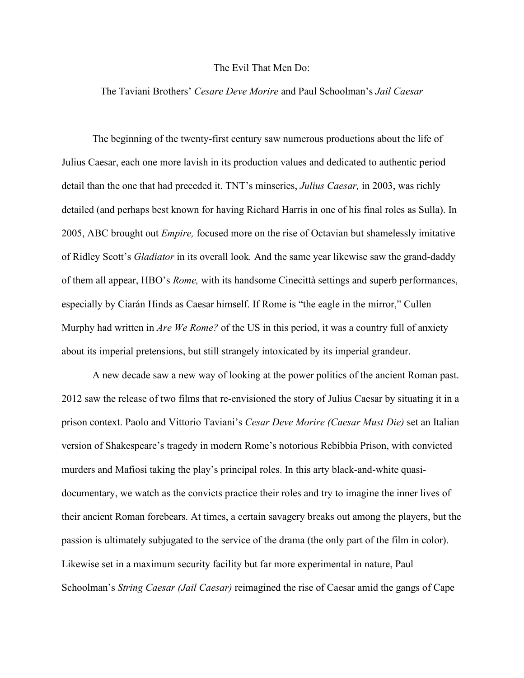## The Evil That Men Do:

## The Taviani Brothers' *Cesare Deve Morire* and Paul Schoolman's *Jail Caesar*

The beginning of the twenty-first century saw numerous productions about the life of Julius Caesar, each one more lavish in its production values and dedicated to authentic period detail than the one that had preceded it. TNT's minseries, *Julius Caesar,* in 2003, was richly detailed (and perhaps best known for having Richard Harris in one of his final roles as Sulla). In 2005, ABC brought out *Empire,* focused more on the rise of Octavian but shamelessly imitative of Ridley Scott's *Gladiator* in its overall look*.* And the same year likewise saw the grand-daddy of them all appear, HBO's *Rome,* with its handsome Cinecittà settings and superb performances, especially by Ciarán Hinds as Caesar himself. If Rome is "the eagle in the mirror," Cullen Murphy had written in *Are We Rome?* of the US in this period, it was a country full of anxiety about its imperial pretensions, but still strangely intoxicated by its imperial grandeur.

A new decade saw a new way of looking at the power politics of the ancient Roman past. 2012 saw the release of two films that re-envisioned the story of Julius Caesar by situating it in a prison context. Paolo and Vittorio Taviani's *Cesar Deve Morire (Caesar Must Die)* set an Italian version of Shakespeare's tragedy in modern Rome's notorious Rebibbia Prison, with convicted murders and Mafiosi taking the play's principal roles. In this arty black-and-white quasidocumentary, we watch as the convicts practice their roles and try to imagine the inner lives of their ancient Roman forebears. At times, a certain savagery breaks out among the players, but the passion is ultimately subjugated to the service of the drama (the only part of the film in color). Likewise set in a maximum security facility but far more experimental in nature, Paul Schoolman's *String Caesar (Jail Caesar)* reimagined the rise of Caesar amid the gangs of Cape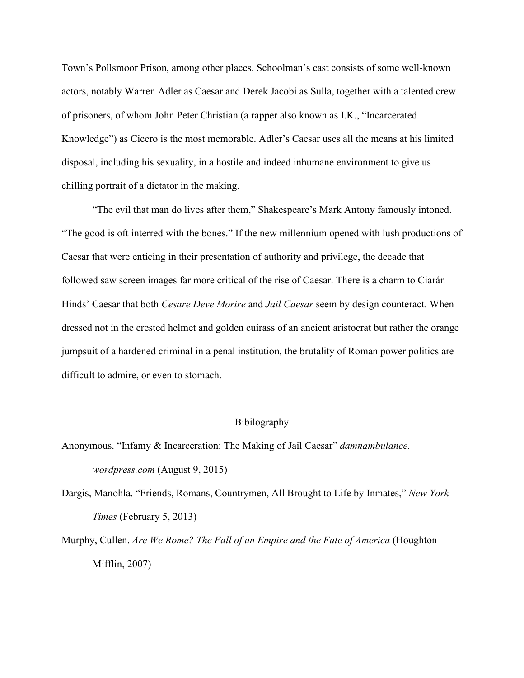Town's Pollsmoor Prison, among other places. Schoolman's cast consists of some well-known actors, notably Warren Adler as Caesar and Derek Jacobi as Sulla, together with a talented crew of prisoners, of whom John Peter Christian (a rapper also known as I.K., "Incarcerated Knowledge") as Cicero is the most memorable. Adler's Caesar uses all the means at his limited disposal, including his sexuality, in a hostile and indeed inhumane environment to give us chilling portrait of a dictator in the making.

"The evil that man do lives after them," Shakespeare's Mark Antony famously intoned. "The good is oft interred with the bones." If the new millennium opened with lush productions of Caesar that were enticing in their presentation of authority and privilege, the decade that followed saw screen images far more critical of the rise of Caesar. There is a charm to Ciarán Hinds' Caesar that both *Cesare Deve Morire* and *Jail Caesar* seem by design counteract. When dressed not in the crested helmet and golden cuirass of an ancient aristocrat but rather the orange jumpsuit of a hardened criminal in a penal institution, the brutality of Roman power politics are difficult to admire, or even to stomach.

## Bibilography

Anonymous. "Infamy & Incarceration: The Making of Jail Caesar" *damnambulance. wordpress.com* (August 9, 2015)

Dargis, Manohla. "Friends, Romans, Countrymen, All Brought to Life by Inmates," *New York Times* (February 5, 2013)

Murphy, Cullen. *Are We Rome? The Fall of an Empire and the Fate of America* (Houghton Mifflin, 2007)